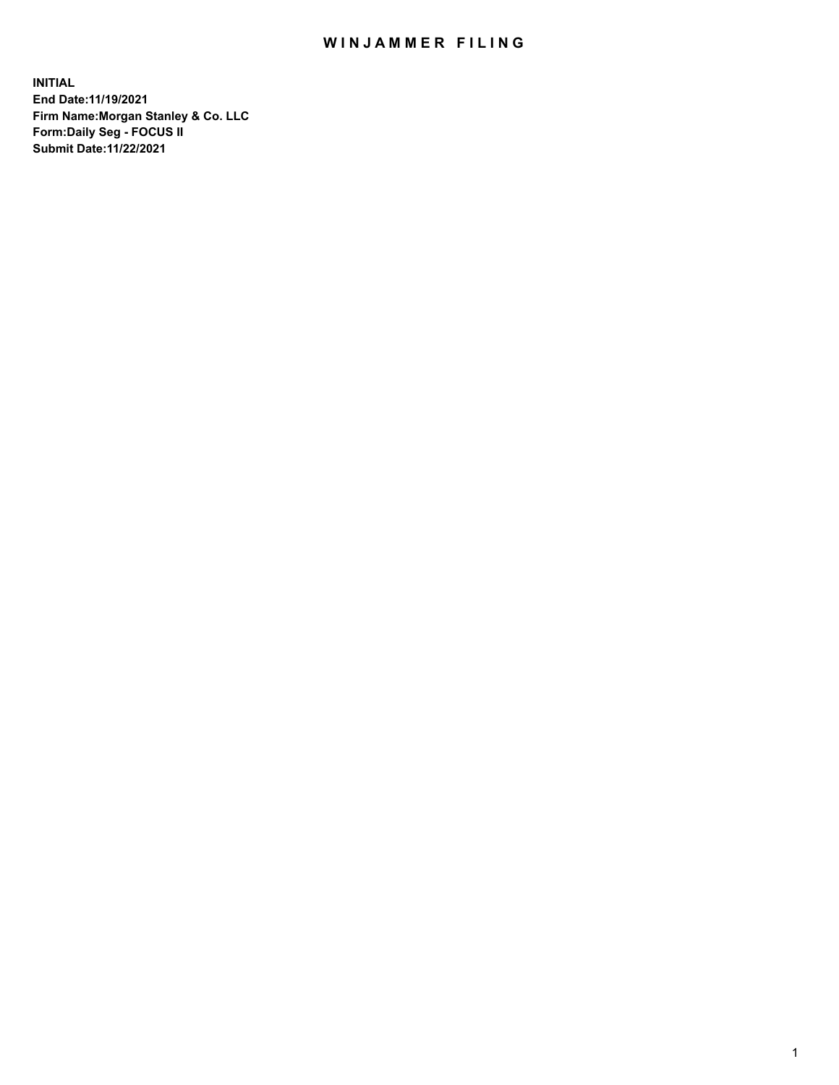## WIN JAMMER FILING

**INITIAL End Date:11/19/2021 Firm Name:Morgan Stanley & Co. LLC Form:Daily Seg - FOCUS II Submit Date:11/22/2021**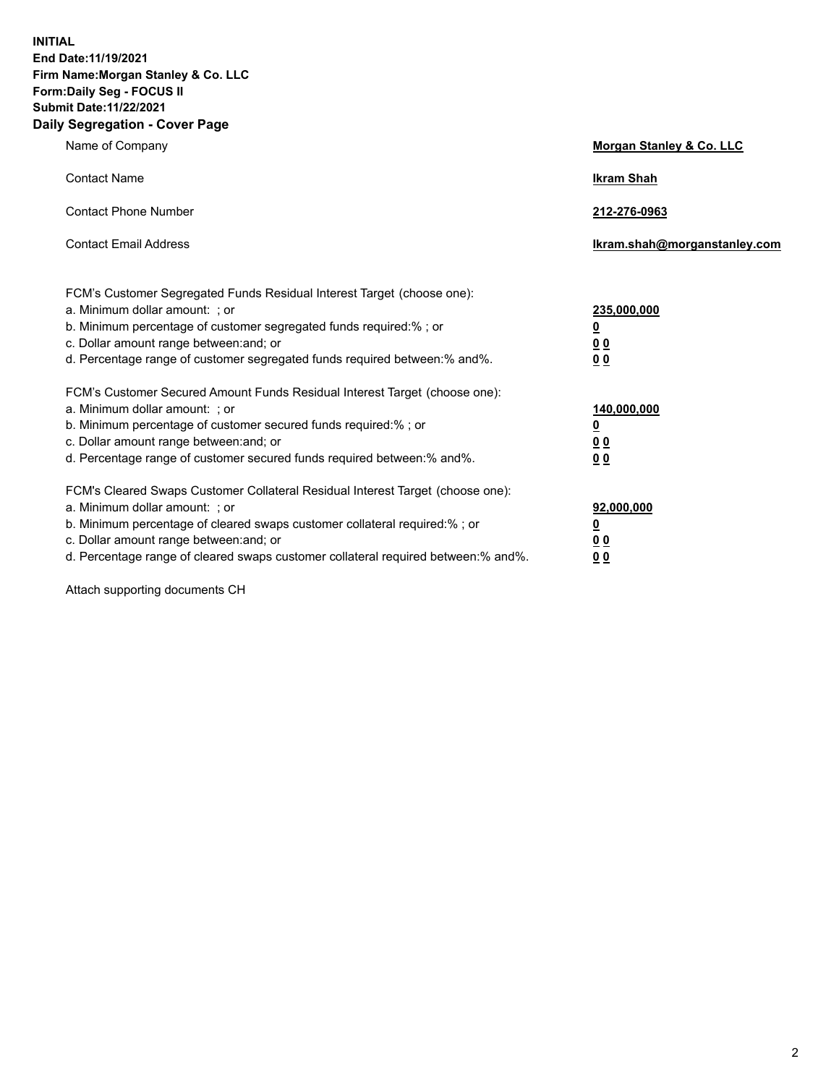**INITIAL End Date:11/19/2021 Firm Name:Morgan Stanley & Co. LLC Form:Daily Seg - FOCUS II Submit Date:11/22/2021 Daily Segregation - Cover Page**

| Name of Company                                                                                                                                                                                                                                                                                                                | Morgan Stanley & Co. LLC                                |
|--------------------------------------------------------------------------------------------------------------------------------------------------------------------------------------------------------------------------------------------------------------------------------------------------------------------------------|---------------------------------------------------------|
| <b>Contact Name</b>                                                                                                                                                                                                                                                                                                            | <b>Ikram Shah</b>                                       |
| <b>Contact Phone Number</b>                                                                                                                                                                                                                                                                                                    | 212-276-0963                                            |
| <b>Contact Email Address</b>                                                                                                                                                                                                                                                                                                   | Ikram.shah@morganstanley.com                            |
| FCM's Customer Segregated Funds Residual Interest Target (choose one):<br>a. Minimum dollar amount: ; or<br>b. Minimum percentage of customer segregated funds required:%; or<br>c. Dollar amount range between: and; or<br>d. Percentage range of customer segregated funds required between: % and %.                        | 235,000,000<br><u>0</u><br>00<br>0 Q                    |
| FCM's Customer Secured Amount Funds Residual Interest Target (choose one):<br>a. Minimum dollar amount: ; or<br>b. Minimum percentage of customer secured funds required:%; or<br>c. Dollar amount range between: and; or<br>d. Percentage range of customer secured funds required between:% and%.                            | 140,000,000<br><u>0</u><br><u>0 0</u><br>0 <sub>0</sub> |
| FCM's Cleared Swaps Customer Collateral Residual Interest Target (choose one):<br>a. Minimum dollar amount: ; or<br>b. Minimum percentage of cleared swaps customer collateral required:% ; or<br>c. Dollar amount range between: and; or<br>d. Percentage range of cleared swaps customer collateral required between:% and%. | 92,000,000<br><u>0</u><br><u>00</u><br>00               |

Attach supporting documents CH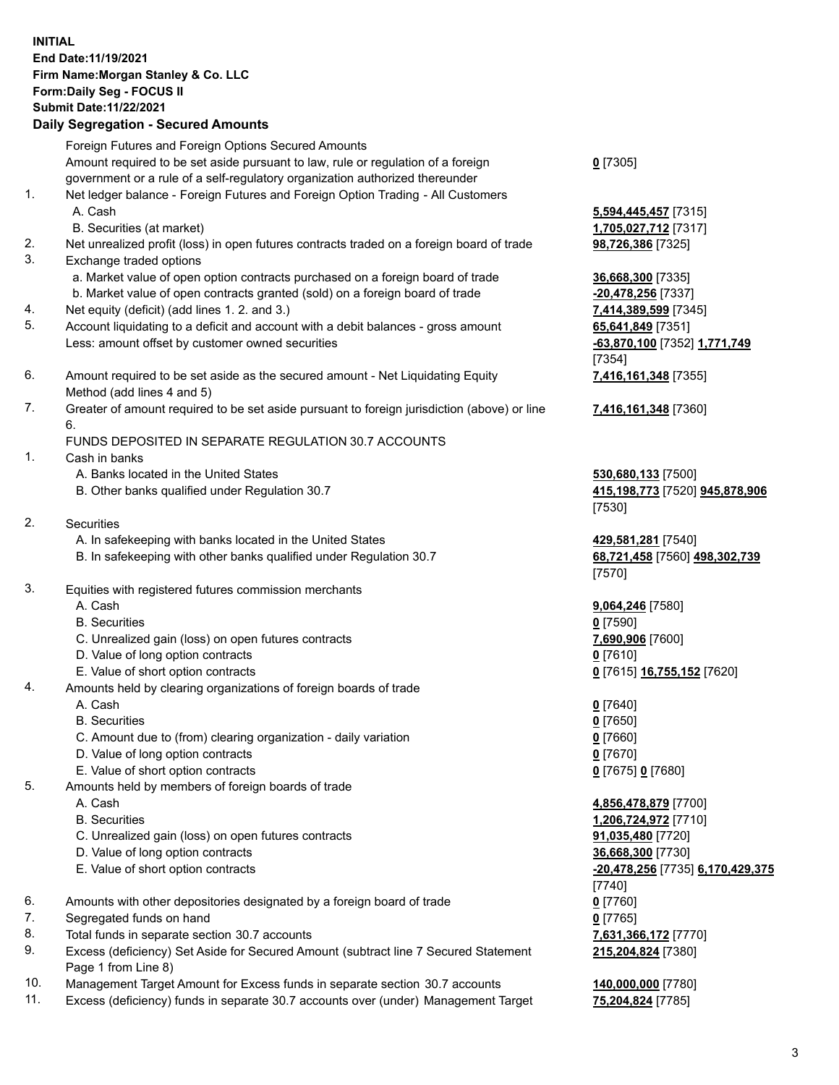## **INITIAL End Date:11/19/2021 Firm Name:Morgan Stanley & Co. LLC Form:Daily Seg - FOCUS II Submit Date:11/22/2021**

## **Daily Segregation - Secured Amounts**

Foreign Futures and Foreign Options Secured Amounts Amount required to be set aside pursuant to law, rule or regulation of a foreign government or a rule of a self-regulatory organization authorized thereunder 1. Net ledger balance - Foreign Futures and Foreign Option Trading - All Customers A. Cash **5,594,445,457** [7315] B. Securities (at market) **1,705,027,712** [7317] 2. Net unrealized profit (loss) in open futures contracts traded on a foreign board of trade **98,726,386** [7325] 3. Exchange traded options a. Market value of open option contracts purchased on a foreign board of trade **36,668,300** [7335] b. Market value of open contracts granted (sold) on a foreign board of trade **-20,478,256** [7337] 4. Net equity (deficit) (add lines 1. 2. and 3.) **7,414,389,599** [7345] 5. Account liquidating to a deficit and account with a debit balances - gross amount **65,641,849** [7351] Less: amount offset by customer owned securities **-63,870,100** [7352] **1,771,749** 6. Amount required to be set aside as the secured amount - Net Liquidating Equity Method (add lines 4 and 5) 7. Greater of amount required to be set aside pursuant to foreign jurisdiction (above) or line 6. FUNDS DEPOSITED IN SEPARATE REGULATION 30.7 ACCOUNTS 1. Cash in banks A. Banks located in the United States **530,680,133** [7500] B. Other banks qualified under Regulation 30.7 **415,198,773** [7520] **945,878,906** 2. Securities A. In safekeeping with banks located in the United States **429,581,281** [7540] B. In safekeeping with other banks qualified under Regulation 30.7 **68,721,458** [7560] **498,302,739** 3. Equities with registered futures commission merchants A. Cash **9,064,246** [7580] B. Securities **0** [7590] C. Unrealized gain (loss) on open futures contracts **7,690,906** [7600] D. Value of long option contracts **0** [7610] E. Value of short option contracts **0** [7615] **16,755,152** [7620] 4. Amounts held by clearing organizations of foreign boards of trade A. Cash **0** [7640] B. Securities **0** [7650]

- C. Amount due to (from) clearing organization daily variation **0** [7660]
- D. Value of long option contracts **0** [7670]
- E. Value of short option contracts **0** [7675] **0** [7680]
- 5. Amounts held by members of foreign boards of trade
	-
	-
	- C. Unrealized gain (loss) on open futures contracts **91,035,480** [7720]
	- D. Value of long option contracts **36,668,300** [7730]
	-
- 6. Amounts with other depositories designated by a foreign board of trade **0** [7760]
- 7. Segregated funds on hand **0** [7765]
- 8. Total funds in separate section 30.7 accounts **7,631,366,172** [7770]
- 9. Excess (deficiency) Set Aside for Secured Amount (subtract line 7 Secured Statement Page 1 from Line 8)
- 10. Management Target Amount for Excess funds in separate section 30.7 accounts **140,000,000** [7780]
- 11. Excess (deficiency) funds in separate 30.7 accounts over (under) Management Target **75,204,824** [7785]

**0** [7305]

[7354] **7,416,161,348** [7355]

**7,416,161,348** [7360]

[7530]

[7570]

 A. Cash **4,856,478,879** [7700] B. Securities **1,206,724,972** [7710] E. Value of short option contracts **-20,478,256** [7735] **6,170,429,375** [7740] **215,204,824** [7380]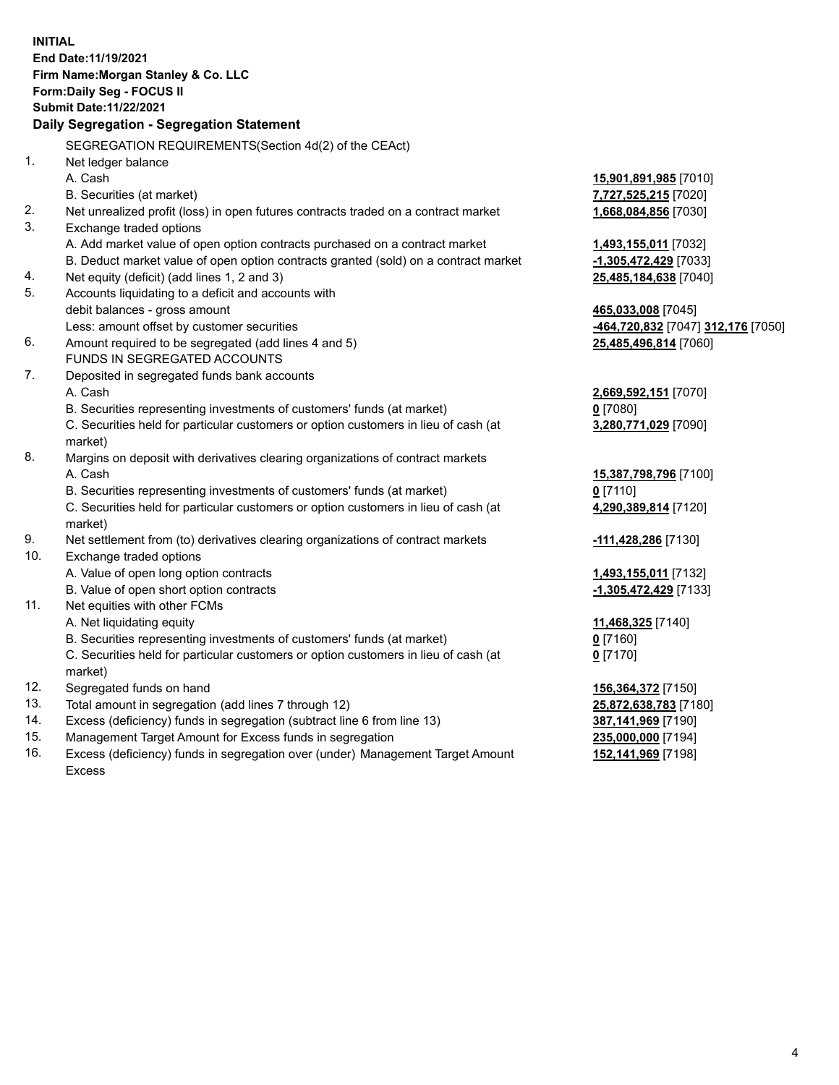|     | <b>INITIAL</b><br>End Date: 11/19/2021<br>Firm Name: Morgan Stanley & Co. LLC                  |                                                 |
|-----|------------------------------------------------------------------------------------------------|-------------------------------------------------|
|     | Form: Daily Seg - FOCUS II                                                                     |                                                 |
|     | <b>Submit Date: 11/22/2021</b>                                                                 |                                                 |
|     | Daily Segregation - Segregation Statement                                                      |                                                 |
|     | SEGREGATION REQUIREMENTS(Section 4d(2) of the CEAct)                                           |                                                 |
| 1.  | Net ledger balance                                                                             |                                                 |
|     | A. Cash                                                                                        | 15,901,891,985 [7010]                           |
|     | B. Securities (at market)                                                                      | 7,727,525,215 [7020]                            |
| 2.  | Net unrealized profit (loss) in open futures contracts traded on a contract market             | 1,668,084,856 [7030]                            |
| 3.  | Exchange traded options                                                                        |                                                 |
|     | A. Add market value of open option contracts purchased on a contract market                    | 1,493,155,011 [7032]                            |
|     | B. Deduct market value of open option contracts granted (sold) on a contract market            | -1,305,472,429 [7033]                           |
| 4.  | Net equity (deficit) (add lines 1, 2 and 3)                                                    | 25,485,184,638 [7040]                           |
| 5.  | Accounts liquidating to a deficit and accounts with                                            |                                                 |
|     | debit balances - gross amount                                                                  | 465,033,008 [7045]                              |
|     | Less: amount offset by customer securities                                                     | <mark>-464,720,832</mark> [7047] 312,176 [7050] |
| 6.  | Amount required to be segregated (add lines 4 and 5)                                           | 25,485,496,814 [7060]                           |
|     | FUNDS IN SEGREGATED ACCOUNTS                                                                   |                                                 |
| 7.  | Deposited in segregated funds bank accounts                                                    |                                                 |
|     | A. Cash                                                                                        | 2,669,592,151 [7070]                            |
|     | B. Securities representing investments of customers' funds (at market)                         | $0$ [7080]                                      |
|     | C. Securities held for particular customers or option customers in lieu of cash (at<br>market) | 3,280,771,029 [7090]                            |
| 8.  | Margins on deposit with derivatives clearing organizations of contract markets                 |                                                 |
|     | A. Cash                                                                                        | 15,387,798,796 [7100]                           |
|     | B. Securities representing investments of customers' funds (at market)                         | $0$ [7110]                                      |
|     | C. Securities held for particular customers or option customers in lieu of cash (at<br>market) | 4,290,389,814 [7120]                            |
| 9.  | Net settlement from (to) derivatives clearing organizations of contract markets                | -111,428,286 [7130]                             |
| 10. | Exchange traded options                                                                        |                                                 |
|     | A. Value of open long option contracts                                                         | 1,493,155,011 [7132]                            |
|     | B. Value of open short option contracts                                                        | -1,305,472,429 [7133]                           |
| 11. | Net equities with other FCMs                                                                   |                                                 |
|     | A. Net liquidating equity                                                                      | 11,468,325 [7140]                               |
|     | B. Securities representing investments of customers' funds (at market)                         | $0$ [7160]                                      |
|     | C. Securities held for particular customers or option customers in lieu of cash (at            | $0$ [7170]                                      |
|     | market)                                                                                        |                                                 |
| 12. | Segregated funds on hand                                                                       | 156,364,372 [7150]                              |
| 13. | Total amount in segregation (add lines 7 through 12)                                           | 25,872,638,783 [7180]                           |
| 14. | Excess (deficiency) funds in segregation (subtract line 6 from line 13)                        | 387,141,969 [7190]                              |
| 15. | Management Target Amount for Excess funds in segregation                                       | 235,000,000 [7194]                              |

16. Excess (deficiency) funds in segregation over (under) Management Target Amount Excess

**152,141,969** [7198]